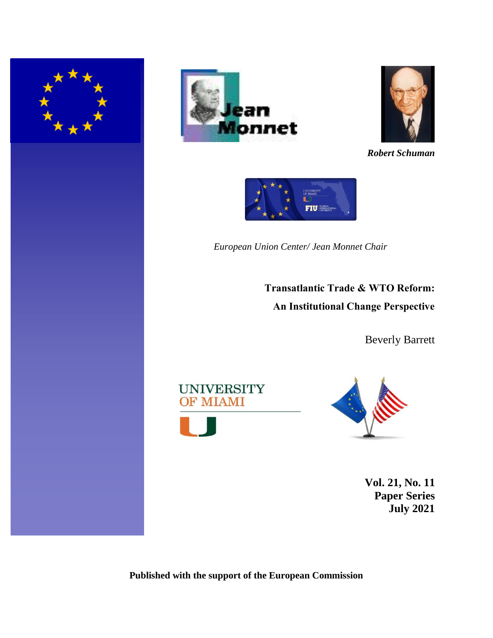





*Robert Schuman*



*European Union Center/ Jean Monnet Chair*

**Transatlantic Trade & WTO Reform: An Institutional Change Perspective**

Beverly Barrett





**Vol. 21, No. 11 Paper Series July 2021**

**Published with the support of the European Commission**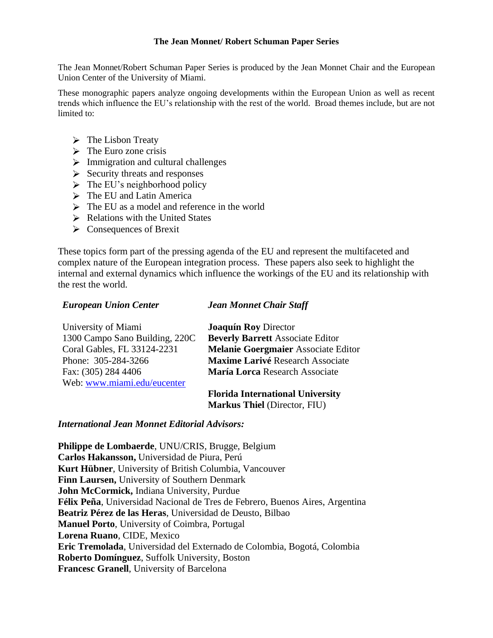#### **The Jean Monnet/ Robert Schuman Paper Series**

The Jean Monnet/Robert Schuman Paper Series is produced by the Jean Monnet Chair and the European Union Center of the University of Miami.

These monographic papers analyze ongoing developments within the European Union as well as recent trends which influence the EU's relationship with the rest of the world. Broad themes include, but are not limited to:

- $\triangleright$  The Lisbon Treaty
- $\triangleright$  The Euro zone crisis
- $\triangleright$  Immigration and cultural challenges
- $\triangleright$  Security threats and responses
- $\triangleright$  The EU's neighborhood policy
- $\triangleright$  The EU and Latin America
- $\triangleright$  The EU as a model and reference in the world
- $\triangleright$  Relations with the United States
- $\triangleright$  Consequences of Brexit

These topics form part of the pressing agenda of the EU and represent the multifaceted and complex nature of the European integration process. These papers also seek to highlight the internal and external dynamics which influence the workings of the EU and its relationship with the rest the world.

## *European Union Center*

### *Jean Monnet Chair Staff*

| University of Miami            | <b>Joaquín Roy Director</b>                |
|--------------------------------|--------------------------------------------|
| 1300 Campo Sano Building, 220C | <b>Beverly Barrett Associate Editor</b>    |
| Coral Gables, FL 33124-2231    | <b>Melanie Goergmaier Associate Editor</b> |
| Phone: 305-284-3266            | <b>Maxime Larivé Research Associate</b>    |
| Fax: (305) 284 4406            | María Lorca Research Associate             |
| Web: www.miami.edu/eucenter    |                                            |
|                                | Flazida International Huisendts            |

**Florida International University Markus Thiel** (Director, FIU)

## *International Jean Monnet Editorial Advisors:*

**Philippe de Lombaerde**, UNU/CRIS, Brugge, Belgium **Carlos Hakansson,** Universidad de Piura, Perú **Kurt Hübner**, University of British Columbia, Vancouver **Finn Laursen,** University of Southern Denmark **John McCormick,** Indiana University, Purdue **Félix Peña**, Universidad Nacional de Tres de Febrero, Buenos Aires, Argentina **Beatriz Pérez de las Heras**, Universidad de Deusto, Bilbao **Manuel Porto**, University of Coimbra, Portugal **Lorena Ruano**, CIDE, Mexico **Eric Tremolada**, Universidad del Externado de Colombia, Bogotá, Colombia **Roberto Domínguez**, Suffolk University, Boston **Francesc Granell**, University of Barcelona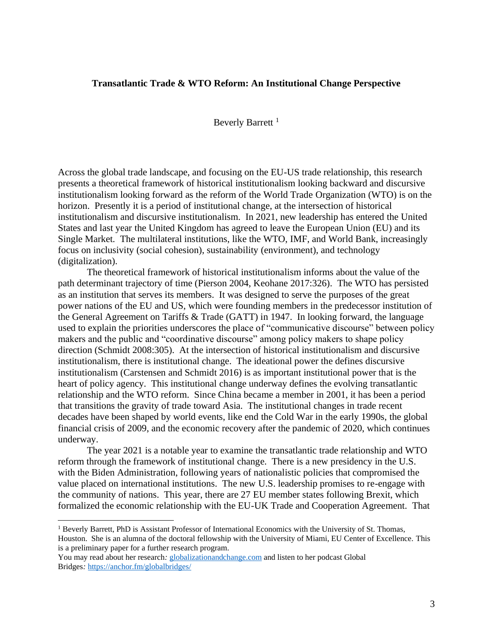#### **Transatlantic Trade & WTO Reform: An Institutional Change Perspective**

#### Beverly Barrett<sup>1</sup>

Across the global trade landscape, and focusing on the EU-US trade relationship, this research presents a theoretical framework of historical institutionalism looking backward and discursive institutionalism looking forward as the reform of the World Trade Organization (WTO) is on the horizon. Presently it is a period of institutional change, at the intersection of historical institutionalism and discursive institutionalism. In 2021, new leadership has entered the United States and last year the United Kingdom has agreed to leave the European Union (EU) and its Single Market. The multilateral institutions, like the WTO, IMF, and World Bank, increasingly focus on inclusivity (social cohesion), sustainability (environment), and technology (digitalization).

The theoretical framework of historical institutionalism informs about the value of the path determinant trajectory of time (Pierson 2004, Keohane 2017:326). The WTO has persisted as an institution that serves its members. It was designed to serve the purposes of the great power nations of the EU and US, which were founding members in the predecessor institution of the General Agreement on Tariffs & Trade (GATT) in 1947. In looking forward, the language used to explain the priorities underscores the place of "communicative discourse" between policy makers and the public and "coordinative discourse" among policy makers to shape policy direction (Schmidt 2008:305). At the intersection of historical institutionalism and discursive institutionalism, there is institutional change. The ideational power the defines discursive institutionalism (Carstensen and Schmidt 2016) is as important institutional power that is the heart of policy agency. This institutional change underway defines the evolving transatlantic relationship and the WTO reform. Since China became a member in 2001, it has been a period that transitions the gravity of trade toward Asia. The institutional changes in trade recent decades have been shaped by world events, like end the Cold War in the early 1990s, the global financial crisis of 2009, and the economic recovery after the pandemic of 2020, which continues underway.

The year 2021 is a notable year to examine the transatlantic trade relationship and WTO reform through the framework of institutional change. There is a new presidency in the U.S. with the Biden Administration, following years of nationalistic policies that compromised the value placed on international institutions. The new U.S. leadership promises to re-engage with the community of nations. This year, there are 27 EU member states following Brexit, which formalized the economic relationship with the EU-UK Trade and Cooperation Agreement. That

<sup>&</sup>lt;sup>1</sup> Beverly Barrett, PhD is Assistant Professor of International Economics with the University of St. Thomas, Houston. She is an alumna of the doctoral fellowship with the University of Miami, EU Center of Excellence. This is a preliminary paper for a further research program.

You may read about her research*:* [globalizationandchange.com](http://globalizationandchange.com/) and listen to her podcast Global Bridges*:* <https://anchor.fm/globalbridges/>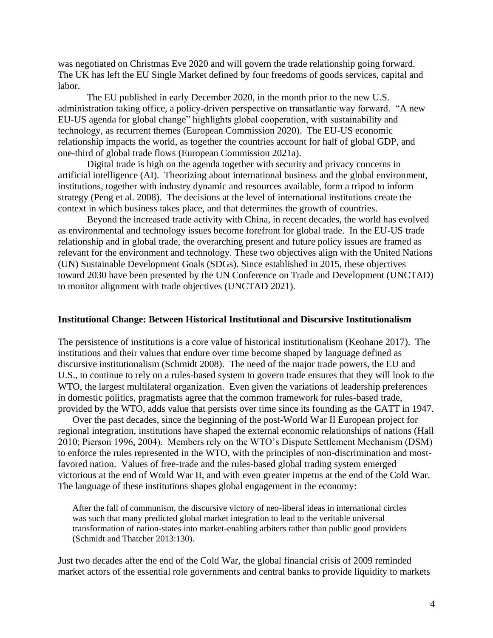was negotiated on Christmas Eve 2020 and will govern the trade relationship going forward. The UK has left the EU Single Market defined by four freedoms of goods services, capital and labor.

The EU published in early December 2020, in the month prior to the new U.S. administration taking office, a policy-driven perspective on transatlantic way forward. "A new EU-US agenda for global change" highlights global cooperation, with sustainability and technology, as recurrent themes (European Commission 2020). The EU-US economic relationship impacts the world, as together the countries account for half of global GDP, and one-third of global trade flows (European Commission 2021a).

Digital trade is high on the agenda together with security and privacy concerns in artificial intelligence (AI). Theorizing about international business and the global environment, institutions, together with industry dynamic and resources available, form a tripod to inform strategy (Peng et al. 2008). The decisions at the level of international institutions create the context in which business takes place, and that determines the growth of countries.

Beyond the increased trade activity with China, in recent decades, the world has evolved as environmental and technology issues become forefront for global trade. In the EU-US trade relationship and in global trade, the overarching present and future policy issues are framed as relevant for the environment and technology. These two objectives align with the United Nations (UN) Sustainable Development Goals (SDGs). Since established in 2015, these objectives toward 2030 have been presented by the UN Conference on Trade and Development (UNCTAD) to monitor alignment with trade objectives (UNCTAD 2021).

#### **Institutional Change: Between Historical Institutional and Discursive Institutionalism**

The persistence of institutions is a core value of historical institutionalism (Keohane 2017). The institutions and their values that endure over time become shaped by language defined as discursive institutionalism (Schmidt 2008). The need of the major trade powers, the EU and U.S., to continue to rely on a rules-based system to govern trade ensures that they will look to the WTO, the largest multilateral organization. Even given the variations of leadership preferences in domestic politics, pragmatists agree that the common framework for rules-based trade, provided by the WTO, adds value that persists over time since its founding as the GATT in 1947.

Over the past decades, since the beginning of the post-World War II European project for regional integration, institutions have shaped the external economic relationships of nations (Hall 2010; Pierson 1996, 2004). Members rely on the WTO's Dispute Settlement Mechanism (DSM) to enforce the rules represented in the WTO, with the principles of non-discrimination and mostfavored nation. Values of free-trade and the rules-based global trading system emerged victorious at the end of World War II, and with even greater impetus at the end of the Cold War. The language of these institutions shapes global engagement in the economy:

After the fall of communism, the discursive victory of neo-liberal ideas in international circles was such that many predicted global market integration to lead to the veritable universal transformation of nation-states into market-enabling arbiters rather than public good providers (Schmidt and Thatcher 2013:130).

Just two decades after the end of the Cold War, the global financial crisis of 2009 reminded market actors of the essential role governments and central banks to provide liquidity to markets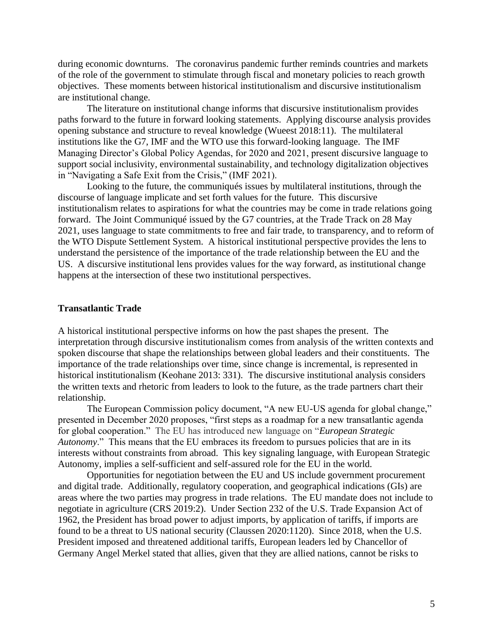during economic downturns. The coronavirus pandemic further reminds countries and markets of the role of the government to stimulate through fiscal and monetary policies to reach growth objectives. These moments between historical institutionalism and discursive institutionalism are institutional change.

The literature on institutional change informs that discursive institutionalism provides paths forward to the future in forward looking statements. Applying discourse analysis provides opening substance and structure to reveal knowledge (Wueest 2018:11). The multilateral institutions like the G7, IMF and the WTO use this forward-looking language. The IMF Managing Director's Global Policy Agendas, for 2020 and 2021, present discursive language to support social inclusivity, environmental sustainability, and technology digitalization objectives in "Navigating a Safe Exit from the Crisis," (IMF 2021).

Looking to the future, the communiqués issues by multilateral institutions, through the discourse of language implicate and set forth values for the future. This discursive institutionalism relates to aspirations for what the countries may be come in trade relations going forward. The Joint Communiqué issued by the G7 countries, at the Trade Track on 28 May 2021, uses language to state commitments to free and fair trade, to transparency, and to reform of the WTO Dispute Settlement System. A historical institutional perspective provides the lens to understand the persistence of the importance of the trade relationship between the EU and the US. A discursive institutional lens provides values for the way forward, as institutional change happens at the intersection of these two institutional perspectives.

#### **Transatlantic Trade**

A historical institutional perspective informs on how the past shapes the present. The interpretation through discursive institutionalism comes from analysis of the written contexts and spoken discourse that shape the relationships between global leaders and their constituents. The importance of the trade relationships over time, since change is incremental, is represented in historical institutionalism (Keohane 2013: 331). The discursive institutional analysis considers the written texts and rhetoric from leaders to look to the future, as the trade partners chart their relationship.

The European Commission policy document, "A new EU-US agenda for global change," presented in December 2020 proposes, "first steps as a roadmap for a new transatlantic agenda for global cooperation." The EU has introduced new language on "*European Strategic Autonomy*." This means that the EU embraces its freedom to pursues policies that are in its interests without constraints from abroad. This key signaling language, with European Strategic Autonomy, implies a self-sufficient and self-assured role for the EU in the world.

Opportunities for negotiation between the EU and US include government procurement and digital trade. Additionally, regulatory cooperation, and geographical indications (GIs) are areas where the two parties may progress in trade relations. The EU mandate does not include to negotiate in agriculture (CRS 2019:2). Under Section 232 of the U.S. Trade Expansion Act of 1962, the President has broad power to adjust imports, by application of tariffs, if imports are found to be a threat to US national security (Claussen 2020:1120). Since 2018, when the U.S. President imposed and threatened additional tariffs, European leaders led by Chancellor of Germany Angel Merkel stated that allies, given that they are allied nations, cannot be risks to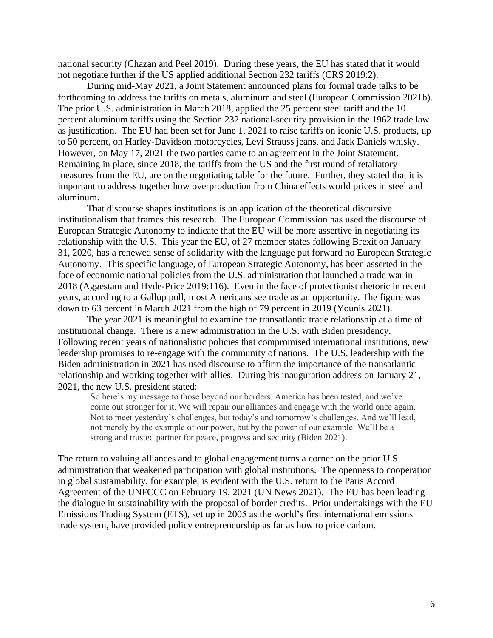national security (Chazan and Peel 2019). During these years, the EU has stated that it would not negotiate further if the US applied additional Section 232 tariffs (CRS 2019:2).

During mid-May 2021, a Joint Statement announced plans for formal trade talks to be forthcoming to address the tariffs on metals, aluminum and steel (European Commission 2021b). The prior U.S. administration in March 2018, applied the 25 percent steel tariff and the 10 percent aluminum tariffs using the Section 232 national-security provision in the 1962 trade law as justification. The EU had been set for June 1, 2021 to raise tariffs on iconic U.S. products, up to 50 percent, on Harley-Davidson motorcycles, Levi Strauss jeans, and Jack Daniels whisky. However, on May 17, 2021 the two parties came to an agreement in the Joint Statement. Remaining in place, since 2018, the tariffs from the US and the first round of retaliatory measures from the EU, are on the negotiating table for the future. Further, they stated that it is important to address together how overproduction from China effects world prices in steel and aluminum.

That discourse shapes institutions is an application of the theoretical discursive institutionalism that frames this research. The European Commission has used the discourse of European Strategic Autonomy to indicate that the EU will be more assertive in negotiating its relationship with the U.S. This year the EU, of 27 member states following Brexit on January 31, 2020, has a renewed sense of solidarity with the language put forward no European Strategic Autonomy. This specific language, of European Strategic Autonomy, has been asserted in the face of economic national policies from the U.S. administration that launched a trade war in 2018 (Aggestam and Hyde-Price 2019:116). Even in the face of protectionist rhetoric in recent years, according to a Gallup poll, most Americans see trade as an opportunity. The figure was down to 63 percent in March 2021 from the high of 79 percent in 2019 (Younis 2021).

The year 2021 is meaningful to examine the transatlantic trade relationship at a time of institutional change. There is a new administration in the U.S. with Biden presidency. Following recent years of nationalistic policies that compromised international institutions, new leadership promises to re-engage with the community of nations. The U.S. leadership with the Biden administration in 2021 has used discourse to affirm the importance of the transatlantic relationship and working together with allies. During his inauguration address on January 21, 2021, the new U.S. president stated:

So here's my message to those beyond our borders. America has been tested, and we've come out stronger for it. We will repair our alliances and engage with the world once again. Not to meet yesterday's challenges, but today's and tomorrow's challenges. And we'll lead, not merely by the example of our power, but by the power of our example. We'll be a strong and trusted partner for peace, progress and security (Biden 2021).

The return to valuing alliances and to global engagement turns a corner on the prior U.S. administration that weakened participation with global institutions. The openness to cooperation in global sustainability, for example, is evident with the U.S. return to the Paris Accord Agreement of the UNFCCC on February 19, 2021 (UN News 2021). The EU has been leading the dialogue in sustainability with the proposal of border credits. Prior undertakings with the EU Emissions Trading System (ETS), set up in 2005 as the world's first international emissions trade system, have provided policy entrepreneurship as far as how to price carbon.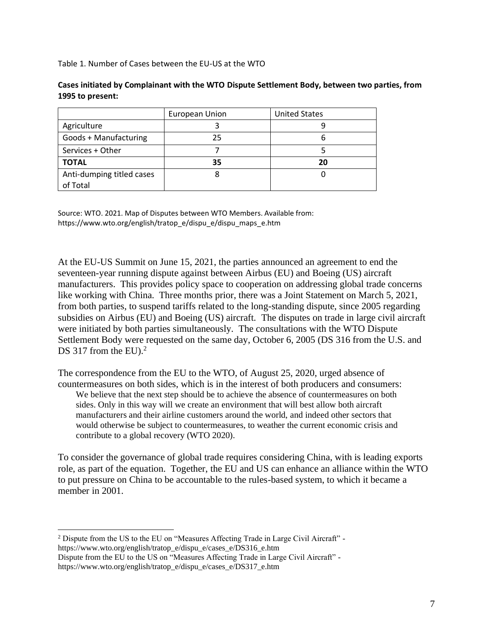Table 1. Number of Cases between the EU-US at the WTO

|                           | European Union | <b>United States</b> |
|---------------------------|----------------|----------------------|
| Agriculture               |                |                      |
| Goods + Manufacturing     | 25             |                      |
| Services + Other          |                |                      |
| <b>TOTAL</b>              | 35             | 20                   |
| Anti-dumping titled cases |                |                      |
| of Total                  |                |                      |

**Cases initiated by Complainant with the WTO Dispute Settlement Body, between two parties, from 1995 to present:**

Source: WTO. 2021. Map of Disputes between WTO Members. Available from: https://www.wto.org/english/tratop\_e/dispu\_e/dispu\_maps\_e.htm

At the EU-US Summit on June 15, 2021, the parties announced an agreement to end the seventeen-year running dispute against between Airbus (EU) and Boeing (US) aircraft manufacturers. This provides policy space to cooperation on addressing global trade concerns like working with China. Three months prior, there was a Joint Statement on March 5, 2021, from both parties, to suspend tariffs related to the long-standing dispute, since 2005 regarding subsidies on Airbus (EU) and Boeing (US) aircraft. The disputes on trade in large civil aircraft were initiated by both parties simultaneously. The consultations with the WTO Dispute Settlement Body were requested on the same day, October 6, 2005 (DS 316 from the U.S. and DS 317 from the EU). $2$ 

The correspondence from the EU to the WTO, of August 25, 2020, urged absence of countermeasures on both sides, which is in the interest of both producers and consumers: We believe that the next step should be to achieve the absence of countermeasures on both sides. Only in this way will we create an environment that will best allow both aircraft manufacturers and their airline customers around the world, and indeed other sectors that would otherwise be subject to countermeasures, to weather the current economic crisis and contribute to a global recovery (WTO 2020).

To consider the governance of global trade requires considering China, with is leading exports role, as part of the equation. Together, the EU and US can enhance an alliance within the WTO to put pressure on China to be accountable to the rules-based system, to which it became a member in 2001.

<sup>2</sup> Dispute from the US to the EU on "Measures Affecting Trade in Large Civil Aircraft" https://www.wto.org/english/tratop\_e/dispu\_e/cases\_e/DS316\_e.htm

Dispute from the EU to the US on "Measures Affecting Trade in Large Civil Aircraft" https://www.wto.org/english/tratop\_e/dispu\_e/cases\_e/DS317\_e.htm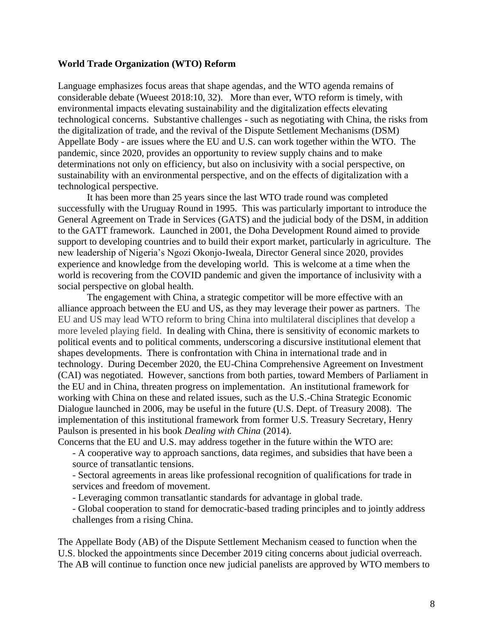#### **World Trade Organization (WTO) Reform**

Language emphasizes focus areas that shape agendas, and the WTO agenda remains of considerable debate (Wueest 2018:10, 32). More than ever, WTO reform is timely, with environmental impacts elevating sustainability and the digitalization effects elevating technological concerns. Substantive challenges - such as negotiating with China, the risks from the digitalization of trade, and the revival of the Dispute Settlement Mechanisms (DSM) Appellate Body - are issues where the EU and U.S. can work together within the WTO. The pandemic, since 2020, provides an opportunity to review supply chains and to make determinations not only on efficiency, but also on inclusivity with a social perspective, on sustainability with an environmental perspective, and on the effects of digitalization with a technological perspective.

It has been more than 25 years since the last WTO trade round was completed successfully with the Uruguay Round in 1995. This was particularly important to introduce the General Agreement on Trade in Services (GATS) and the judicial body of the DSM, in addition to the GATT framework. Launched in 2001, the Doha Development Round aimed to provide support to developing countries and to build their export market, particularly in agriculture. The new leadership of Nigeria's Ngozi Okonjo-Iweala, Director General since 2020, provides experience and knowledge from the developing world. This is welcome at a time when the world is recovering from the COVID pandemic and given the importance of inclusivity with a social perspective on global health.

The engagement with China, a strategic competitor will be more effective with an alliance approach between the EU and US, as they may leverage their power as partners. The EU and US may lead WTO reform to bring China into multilateral disciplines that develop a more leveled playing field. In dealing with China, there is sensitivity of economic markets to political events and to political comments, underscoring a discursive institutional element that shapes developments. There is confrontation with China in international trade and in technology. During December 2020, the EU-China Comprehensive Agreement on Investment (CAI) was negotiated. However, sanctions from both parties, toward Members of Parliament in the EU and in China, threaten progress on implementation. An institutional framework for working with China on these and related issues, such as the U.S.-China Strategic Economic Dialogue launched in 2006, may be useful in the future (U.S. Dept. of Treasury 2008). The implementation of this institutional framework from former U.S. Treasury Secretary, Henry Paulson is presented in his book *Dealing with China* (2014).

Concerns that the EU and U.S. may address together in the future within the WTO are:

- A cooperative way to approach sanctions, data regimes, and subsidies that have been a source of transatlantic tensions.

- Sectoral agreements in areas like professional recognition of qualifications for trade in services and freedom of movement.

- Leveraging common transatlantic standards for advantage in global trade.

- Global cooperation to stand for democratic-based trading principles and to jointly address challenges from a rising China.

The Appellate Body (AB) of the Dispute Settlement Mechanism ceased to function when the U.S. blocked the appointments since December 2019 citing concerns about judicial overreach. The AB will continue to function once new judicial panelists are approved by WTO members to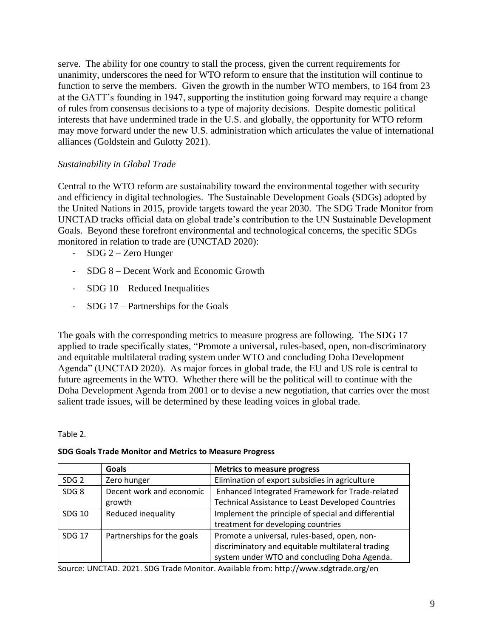serve. The ability for one country to stall the process, given the current requirements for unanimity, underscores the need for WTO reform to ensure that the institution will continue to function to serve the members. Given the growth in the number WTO members, to 164 from 23 at the GATT's founding in 1947, supporting the institution going forward may require a change of rules from consensus decisions to a type of majority decisions. Despite domestic political interests that have undermined trade in the U.S. and globally, the opportunity for WTO reform may move forward under the new U.S. administration which articulates the value of international alliances (Goldstein and Gulotty 2021).

# *Sustainability in Global Trade*

Central to the WTO reform are sustainability toward the environmental together with security and efficiency in digital technologies. The Sustainable Development Goals (SDGs) adopted by the United Nations in 2015, provide targets toward the year 2030. The SDG Trade Monitor from UNCTAD tracks official data on global trade's contribution to the UN Sustainable Development Goals. Beyond these forefront environmental and technological concerns, the specific SDGs monitored in relation to trade are (UNCTAD 2020):

- SDG 2 Zero Hunger
- SDG 8 Decent Work and Economic Growth
- SDG 10 Reduced Inequalities
- SDG 17 Partnerships for the Goals

The goals with the corresponding metrics to measure progress are following. The SDG 17 applied to trade specifically states, "Promote a universal, rules-based, open, non-discriminatory and equitable multilateral trading system under WTO and concluding Doha Development Agenda" (UNCTAD 2020). As major forces in global trade, the EU and US role is central to future agreements in the WTO. Whether there will be the political will to continue with the Doha Development Agenda from 2001 or to devise a new negotiation, that carries over the most salient trade issues, will be determined by these leading voices in global trade.

Table 2.

#### **SDG Goals Trade Monitor and Metrics to Measure Progress**

|                  | <b>Goals</b>               | <b>Metrics to measure progress</b>                       |
|------------------|----------------------------|----------------------------------------------------------|
| SDG <sub>2</sub> | Zero hunger                | Elimination of export subsidies in agriculture           |
| SDG <sub>8</sub> | Decent work and economic   | Enhanced Integrated Framework for Trade-related          |
|                  | growth                     | <b>Technical Assistance to Least Developed Countries</b> |
| <b>SDG 10</b>    | Reduced inequality         | Implement the principle of special and differential      |
|                  |                            | treatment for developing countries                       |
| <b>SDG 17</b>    | Partnerships for the goals | Promote a universal, rules-based, open, non-             |
|                  |                            | discriminatory and equitable multilateral trading        |
|                  |                            | system under WTO and concluding Doha Agenda.             |

Source: UNCTAD. 2021. SDG Trade Monitor. Available from: http://www.sdgtrade.org/en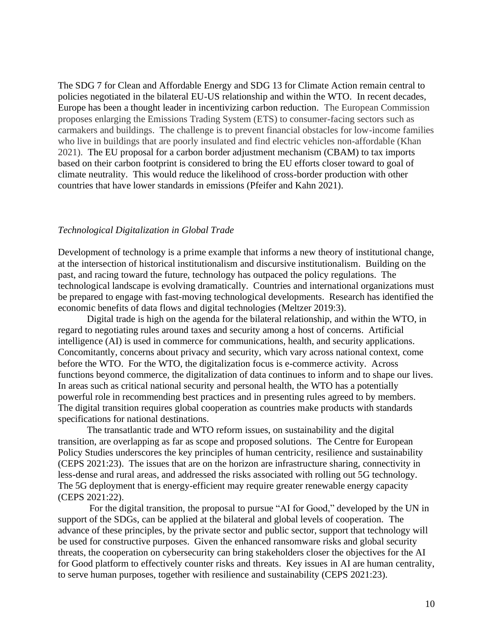The SDG 7 for Clean and Affordable Energy and SDG 13 for Climate Action remain central to policies negotiated in the bilateral EU-US relationship and within the WTO. In recent decades, Europe has been a thought leader in incentivizing carbon reduction. The European Commission proposes enlarging the Emissions Trading System (ETS) to consumer-facing sectors such as carmakers and buildings. The challenge is to prevent financial obstacles for low-income families who live in buildings that are poorly insulated and find electric vehicles non-affordable (Khan 2021).The EU proposal for a [carbon border adjustment mechanism](https://www.ft.com/content/0fc621d1-675c-4768-814e-5863b172dd62) (CBAM) to tax imports based on their carbon footprint is considered to bring the EU efforts closer toward to goal of climate neutrality. This would reduce the likelihood of cross-border production with other countries that have lower standards in emissions (Pfeifer and Kahn 2021).

#### *Technological Digitalization in Global Trade*

Development of technology is a prime example that informs a new theory of institutional change, at the intersection of historical institutionalism and discursive institutionalism. Building on the past, and racing toward the future, technology has outpaced the policy regulations. The technological landscape is evolving dramatically. Countries and international organizations must be prepared to engage with fast-moving technological developments. Research has identified the economic benefits of data flows and digital technologies (Meltzer 2019:3).

Digital trade is high on the agenda for the bilateral relationship, and within the WTO, in regard to negotiating rules around taxes and security among a host of concerns. Artificial intelligence (AI) is used in commerce for communications, health, and security applications. Concomitantly, concerns about privacy and security, which vary across national context, come before the WTO. For the WTO, the digitalization focus is e-commerce activity. Across functions beyond commerce, the digitalization of data continues to inform and to shape our lives. In areas such as critical national security and personal health, the WTO has a potentially powerful role in recommending best practices and in presenting rules agreed to by members. The digital transition requires global cooperation as countries make products with standards specifications for national destinations.

The transatlantic trade and WTO reform issues, on sustainability and the digital transition, are overlapping as far as scope and proposed solutions. The Centre for European Policy Studies underscores the key principles of human centricity, resilience and sustainability (CEPS 2021:23). The issues that are on the horizon are infrastructure sharing, connectivity in less-dense and rural areas, and addressed the risks associated with rolling out 5G technology. The 5G deployment that is energy-efficient may require greater renewable energy capacity (CEPS 2021:22).

For the digital transition, the proposal to pursue "AI for Good," developed by the UN in support of the SDGs, can be applied at the bilateral and global levels of cooperation. The advance of these principles, by the private sector and public sector, support that technology will be used for constructive purposes. Given the enhanced ransomware risks and global security threats, the cooperation on cybersecurity can bring stakeholders closer the objectives for the AI for Good platform to effectively counter risks and threats. Key issues in AI are human centrality, to serve human purposes, together with resilience and sustainability (CEPS 2021:23).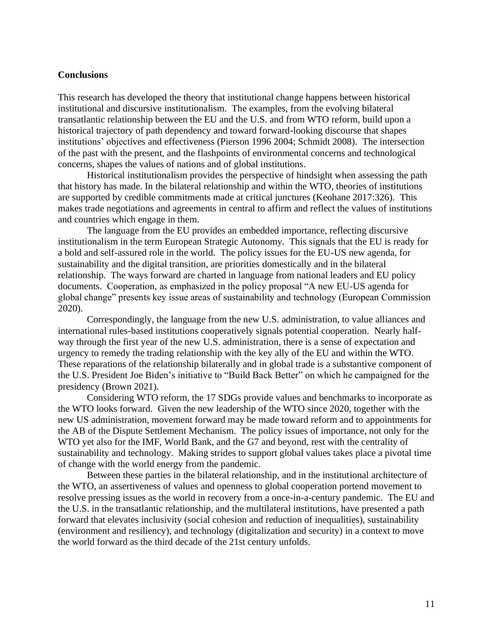#### **Conclusions**

This research has developed the theory that institutional change happens between historical institutional and discursive institutionalism. The examples, from the evolving bilateral transatlantic relationship between the EU and the U.S. and from WTO reform, build upon a historical trajectory of path dependency and toward forward-looking discourse that shapes institutions' objectives and effectiveness (Pierson 1996 2004; Schmidt 2008). The intersection of the past with the present, and the flashpoints of environmental concerns and technological concerns, shapes the values of nations and of global institutions.

Historical institutionalism provides the perspective of hindsight when assessing the path that history has made. In the bilateral relationship and within the WTO, theories of institutions are supported by credible commitments made at critical junctures (Keohane 2017:326). This makes trade negotiations and agreements in central to affirm and reflect the values of institutions and countries which engage in them.

The language from the EU provides an embedded importance, reflecting discursive institutionalism in the term European Strategic Autonomy. This signals that the EU is ready for a bold and self-assured role in the world. The policy issues for the EU-US new agenda, for sustainability and the digital transition, are priorities domestically and in the bilateral relationship. The ways forward are charted in language from national leaders and EU policy documents. Cooperation, as emphasized in the policy proposal "A new EU-US agenda for global change" presents key issue areas of sustainability and technology (European Commission 2020).

Correspondingly, the language from the new U.S. administration, to value alliances and international rules-based institutions cooperatively signals potential cooperation. Nearly halfway through the first year of the new U.S. administration, there is a sense of expectation and urgency to remedy the trading relationship with the key ally of the EU and within the WTO. These reparations of the relationship bilaterally and in global trade is a substantive component of the U.S. President Joe Biden's initiative to "Build Back Better" on which he campaigned for the presidency (Brown 2021).

Considering WTO reform, the 17 SDGs provide values and benchmarks to incorporate as the WTO looks forward. Given the new leadership of the WTO since 2020, together with the new US administration, movement forward may be made toward reform and to appointments for the AB of the Dispute Settlement Mechanism. The policy issues of importance, not only for the WTO yet also for the IMF, World Bank, and the G7 and beyond, rest with the centrality of sustainability and technology. Making strides to support global values takes place a pivotal time of change with the world energy from the pandemic.

Between these parties in the bilateral relationship, and in the institutional architecture of the WTO, an assertiveness of values and openness to global cooperation portend movement to resolve pressing issues as the world in recovery from a once-in-a-century pandemic. The EU and the U.S. in the transatlantic relationship, and the multilateral institutions, have presented a path forward that elevates inclusivity (social cohesion and reduction of inequalities), sustainability (environment and resiliency), and technology (digitalization and security) in a context to move the world forward as the third decade of the 21st century unfolds.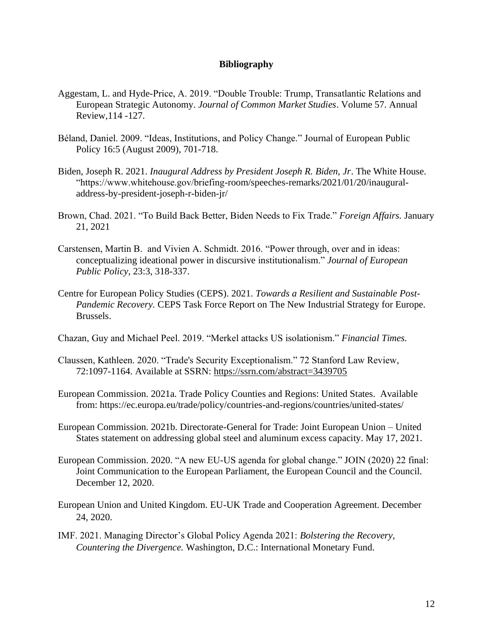#### **Bibliography**

- Aggestam, L. and Hyde-Price, A. 2019. "Double Trouble: Trump, Transatlantic Relations and European Strategic Autonomy. *Journal of Common Market Studies*. Volume 57. Annual Review,114 -127.
- Béland, Daniel. 2009. "Ideas, Institutions, and Policy Change." Journal of European Public Policy 16:5 (August 2009), 701-718.
- Biden, Joseph R. 2021. *Inaugural Address by President Joseph R. Biden, Jr*. The White House. "https://www.whitehouse.gov/briefing-room/speeches-remarks/2021/01/20/inauguraladdress-by-president-joseph-r-biden-jr/
- Brown, Chad. 2021. "To Build Back Better, Biden Needs to Fix Trade." *Foreign Affairs.* January 21, 2021
- Carstensen, Martin B. and Vivien A. Schmidt. 2016. "Power through, over and in ideas: conceptualizing ideational power in discursive institutionalism." *Journal of European Public Policy*, 23:3, 318-337.
- Centre for European Policy Studies (CEPS). 2021. *Towards a Resilient and Sustainable Post-Pandemic Recovery.* CEPS Task Force Report on The New Industrial Strategy for Europe. Brussels.
- Chazan, Guy and Michael Peel. 2019. "Merkel attacks US isolationism." *Financial Times.*
- Claussen, Kathleen. 2020. "Trade's Security Exceptionalism." 72 Stanford Law Review, 72:1097-1164. Available at SSRN: <https://ssrn.com/abstract=3439705>
- European Commission. 2021a. Trade Policy Counties and Regions: United States. Available from: https://ec.europa.eu/trade/policy/countries-and-regions/countries/united-states/
- European Commission. 2021b. Directorate-General for Trade: Joint European Union United States statement on addressing global steel and aluminum excess capacity. May 17, 2021.
- European Commission. 2020. "A new EU-US agenda for global change." JOIN (2020) 22 final: Joint Communication to the European Parliament, the European Council and the Council. December 12, 2020.
- European Union and United Kingdom. EU-UK Trade and Cooperation Agreement. December 24, 2020.
- IMF. 2021. Managing Director's Global Policy Agenda 2021: *Bolstering the Recovery, Countering the Divergence.* Washington, D.C.: International Monetary Fund.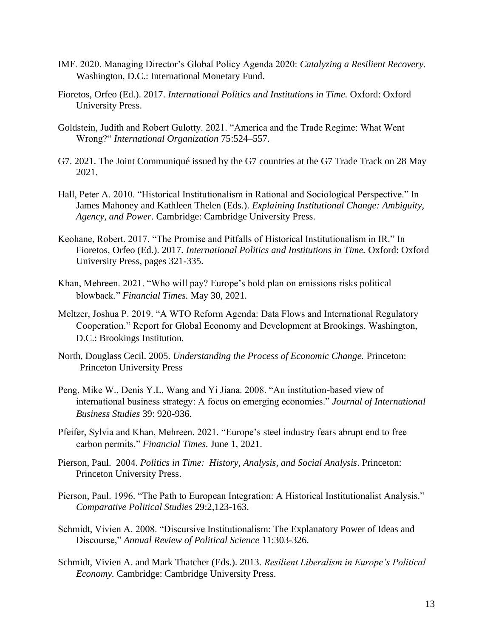- IMF. 2020. Managing Director's Global Policy Agenda 2020: *Catalyzing a Resilient Recovery.* Washington, D.C.: International Monetary Fund.
- Fioretos, Orfeo (Ed.). 2017. *International Politics and Institutions in Time.* Oxford: Oxford University Press.
- Goldstein, Judith and Robert Gulotty. 2021. "America and the Trade Regime: What Went Wrong?" *International Organization* 75:524–557.
- G7. 2021. The Joint Communiqué issued by the G7 countries at the G7 Trade Track on 28 May 2021.
- Hall, Peter A. 2010. "Historical Institutionalism in Rational and Sociological Perspective." In James Mahoney and Kathleen Thelen (Eds.). *Explaining Institutional Change: Ambiguity, Agency, and Power*. Cambridge: Cambridge University Press.
- Keohane, Robert. 2017. "The Promise and Pitfalls of Historical Institutionalism in IR." In Fioretos, Orfeo (Ed.). 2017. *International Politics and Institutions in Time.* Oxford: Oxford University Press, pages 321-335.
- Khan, Mehreen. 2021. "Who will pay? Europe's bold plan on emissions risks political blowback." *Financial Times.* May 30, 2021.
- Meltzer, Joshua P. 2019. "A WTO Reform Agenda: Data Flows and International Regulatory Cooperation." Report for Global Economy and Development at Brookings. Washington, D.C.: Brookings Institution.
- North, Douglass Cecil. 2005. *Understanding the Process of Economic Change.* Princeton: Princeton University Press
- Peng, Mike W., Denis Y.L. Wang and Yi Jiana. 2008. "An institution-based view of international business strategy: A focus on emerging economies." *Journal of International Business Studies* 39: 920-936.
- Pfeifer, Sylvia and Khan, Mehreen. 2021. "Europe's steel industry fears abrupt end to free carbon permits." *Financial Times.* June 1, 2021.
- Pierson, Paul. 2004. *Politics in Time: History, Analysis, and Social Analysis*. Princeton: Princeton University Press.
- Pierson, Paul. 1996. "The Path to European Integration: A Historical Institutionalist Analysis." *Comparative Political Studies* 29:2,123-163.
- Schmidt, Vivien A. 2008. "Discursive Institutionalism: The Explanatory Power of Ideas and Discourse," *Annual Review of Political Science* 11:303-326.
- Schmidt, Vivien A. and Mark Thatcher (Eds.). 2013. *Resilient Liberalism in Europe's Political Economy.* Cambridge: Cambridge University Press.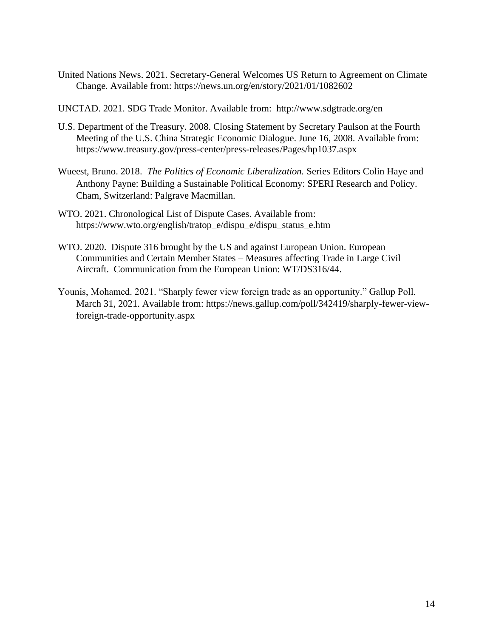United Nations News. 2021. Secretary-General Welcomes US Return to Agreement on Climate Change. Available from: https://news.un.org/en/story/2021/01/1082602

UNCTAD. 2021. SDG Trade Monitor. Available from: http://www.sdgtrade.org/en

- U.S. Department of the Treasury. 2008. Closing Statement by Secretary Paulson at the Fourth Meeting of the U.S. China Strategic Economic Dialogue. June 16, 2008. Available from: https://www.treasury.gov/press-center/press-releases/Pages/hp1037.aspx
- Wueest, Bruno. 2018. *The Politics of Economic Liberalization.* Series Editors Colin Haye and Anthony Payne: Building a Sustainable Political Economy: SPERI Research and Policy. Cham, Switzerland: Palgrave Macmillan.
- WTO. 2021. Chronological List of Dispute Cases. Available from: https://www.wto.org/english/tratop\_e/dispu\_e/dispu\_status\_e.htm
- WTO. 2020. Dispute 316 brought by the US and against European Union. European Communities and Certain Member States – Measures affecting Trade in Large Civil Aircraft. Communication from the European Union: WT/DS316/44.
- Younis, Mohamed. 2021. "Sharply fewer view foreign trade as an opportunity." Gallup Poll. March 31, 2021. Available from: https://news.gallup.com/poll/342419/sharply-fewer-viewforeign-trade-opportunity.aspx